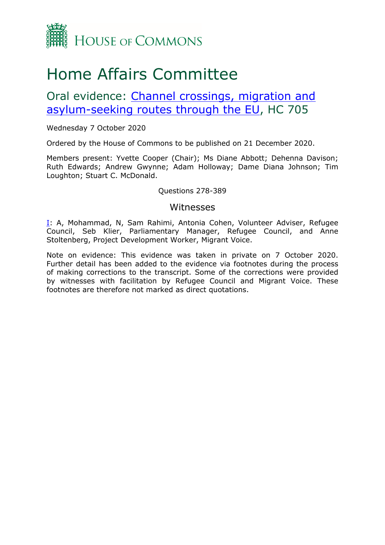

# Home Affairs Committee

Oral evidence: [Channel](https://committees.parliament.uk/work/496/channel-crossings-migration-and-asylumseeking-routes-through-the-eu/) [crossings,](https://committees.parliament.uk/work/496/channel-crossings-migration-and-asylumseeking-routes-through-the-eu/) [migration](https://committees.parliament.uk/work/496/channel-crossings-migration-and-asylumseeking-routes-through-the-eu/) [and](https://committees.parliament.uk/work/496/channel-crossings-migration-and-asylumseeking-routes-through-the-eu/) [asylum-seeking](https://committees.parliament.uk/work/496/channel-crossings-migration-and-asylumseeking-routes-through-the-eu/) [routes](https://committees.parliament.uk/work/496/channel-crossings-migration-and-asylumseeking-routes-through-the-eu/) [through](https://committees.parliament.uk/work/496/channel-crossings-migration-and-asylumseeking-routes-through-the-eu/) [the](https://committees.parliament.uk/work/496/channel-crossings-migration-and-asylumseeking-routes-through-the-eu/) [EU,](https://committees.parliament.uk/work/496/channel-crossings-migration-and-asylumseeking-routes-through-the-eu/) HC 705

### Wednesday 7 October 2020

Ordered by the House of Commons to be published on 21 December 2020.

Members present: Yvette Cooper (Chair); Ms Diane Abbott; Dehenna Davison; Ruth Edwards; Andrew Gwynne; Adam Holloway; Dame Diana Johnson; Tim Loughton; Stuart C. McDonald.

#### Questions 278-389

## Witnesses

[I:](#page-1-0) A, Mohammad, N, Sam Rahimi, Antonia Cohen, Volunteer Adviser, Refugee Council, Seb Klier, Parliamentary Manager, Refugee Council, and Anne Stoltenberg, Project Development Worker, Migrant Voice.

Note on evidence: This evidence was taken in private on 7 October 2020. Further detail has been added to the evidence via footnotes during the process of making corrections to the transcript. Some of the corrections were provided by witnesses with facilitation by Refugee Council and Migrant Voice. These footnotes are therefore not marked as direct quotations.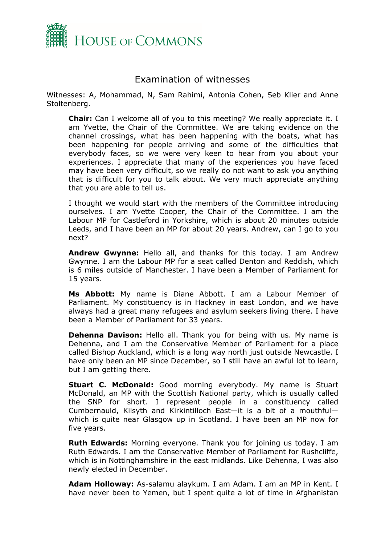

# <span id="page-1-0"></span>Examination of witnesses

Witnesses: A, Mohammad, N, Sam Rahimi, Antonia Cohen, Seb Klier and Anne Stoltenberg.

**Chair:** Can I welcome all of you to this meeting? We really appreciate it. I am Yvette, the Chair of the Committee. We are taking evidence on the channel crossings, what has been happening with the boats, what has been happening for people arriving and some of the difficulties that everybody faces, so we were very keen to hear from you about your experiences. I appreciate that many of the experiences you have faced may have been very difficult, so we really do not want to ask you anything that is difficult for you to talk about. We very much appreciate anything that you are able to tell us.

I thought we would start with the members of the Committee introducing ourselves. I am Yvette Cooper, the Chair of the Committee. I am the Labour MP for Castleford in Yorkshire, which is about 20 minutes outside Leeds, and I have been an MP for about 20 years. Andrew, can I go to you next?

**Andrew Gwynne:** Hello all, and thanks for this today. I am Andrew Gwynne. I am the Labour MP for a seat called Denton and Reddish, which is 6 miles outside of Manchester. I have been a Member of Parliament for 15 years.

**Ms Abbott:** My name is Diane Abbott. I am a Labour Member of Parliament. My constituency is in Hackney in east London, and we have always had a great many refugees and asylum seekers living there. I have been a Member of Parliament for 33 years.

**Dehenna Davison:** Hello all. Thank you for being with us. My name is Dehenna, and I am the Conservative Member of Parliament for a place called Bishop Auckland, which is a long way north just outside Newcastle. I have only been an MP since December, so I still have an awful lot to learn, but I am getting there.

**Stuart C. McDonald:** Good morning everybody. My name is Stuart McDonald, an MP with the Scottish National party, which is usually called the SNP for short. I represent people in a constituency called Cumbernauld, Kilsyth and Kirkintilloch East—it is a bit of a mouthful which is quite near Glasgow up in Scotland. I have been an MP now for five years.

**Ruth Edwards:** Morning everyone. Thank you for joining us today. I am Ruth Edwards. I am the Conservative Member of Parliament for Rushcliffe, which is in Nottinghamshire in the east midlands. Like Dehenna, I was also newly elected in December.

**Adam Holloway:** As-salamu alaykum. I am Adam. I am an MP in Kent. I have never been to Yemen, but I spent quite a lot of time in Afghanistan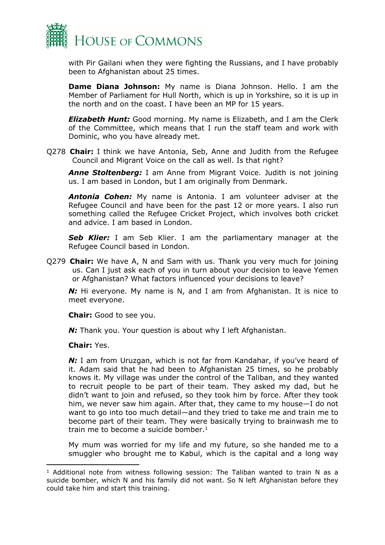

with Pir Gailani when they were fighting the Russians, and I have probably been to Afghanistan about 25 times.

**Dame Diana Johnson:** My name is Diana Johnson. Hello. I am the Member of Parliament for Hull North, which is up in Yorkshire, so it is up in the north and on the coast. I have been an MP for 15 years.

*Elizabeth Hunt:* Good morning. My name is Elizabeth, and I am the Clerk of the Committee, which means that I run the staff team and work with Dominic, who you have already met.

Q278 **Chair:** I think we have Antonia, Seb, Anne and Judith from the Refugee Council and Migrant Voice on the call as well. Is that right?

*Anne Stoltenberg:* I am Anne from Migrant Voice. Judith is not joining us. I am based in London, but I am originally from Denmark.

*Antonia Cohen:* My name is Antonia. I am volunteer adviser at the Refugee Council and have been for the past 12 or more years. I also run something called the Refugee Cricket Project, which involves both cricket and advice. I am based in London.

*Seb Klier:* I am Seb Klier. I am the parliamentary manager at the Refugee Council based in London.

Q279 **Chair:** We have A, N and Sam with us. Thank you very much for joining us. Can I just ask each of you in turn about your decision to leave Yemen or Afghanistan? What factors influenced your decisions to leave?

**N:** Hi everyone. My name is N, and I am from Afghanistan. It is nice to meet everyone.

**Chair:** Good to see you.

*N:* Thank you. Your question is about why I left Afghanistan.

#### **Chair:** Yes.

*N:* I am from Uruzgan, which is not far from Kandahar, if you've heard of it. Adam said that he had been to Afghanistan 25 times, so he probably knows it. My village was under the control of the Taliban, and they wanted to recruit people to be part of their team. They asked my dad, but he didn't want to join and refused, so they took him by force. After they took him, we never saw him again. After that, they came to my house—I do not want to go into too much detail—and they tried to take me and train me to become part of their team. They were basically trying to brainwash me to train me to become a suicide bomber. $1$ 

My mum was worried for my life and my future, so she handed me to a smuggler who brought me to Kabul, which is the capital and a long way

 $<sup>1</sup>$  Additional note from witness following session: The Taliban wanted to train N as a</sup> suicide bomber, which N and his family did not want. So N left Afghanistan before they could take him and start this training.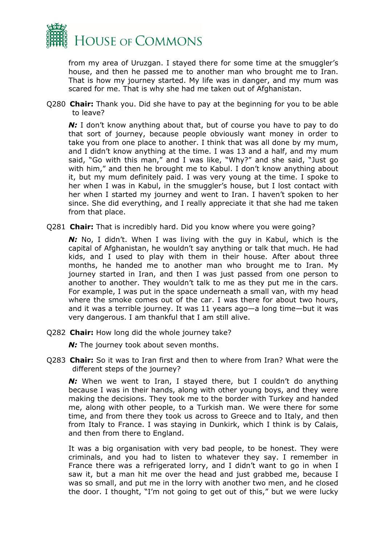

from my area of Uruzgan. I stayed there for some time at the smuggler's house, and then he passed me to another man who brought me to Iran. That is how my journey started. My life was in danger, and my mum was scared for me. That is why she had me taken out of Afghanistan.

Q280 **Chair:** Thank you. Did she have to pay at the beginning for you to be able to leave?

**N:** I don't know anything about that, but of course you have to pay to do that sort of journey, because people obviously want money in order to take you from one place to another. I think that was all done by my mum, and I didn't know anything at the time. I was 13 and a half, and my mum said, "Go with this man," and I was like, "Why?" and she said, "Just go with him," and then he brought me to Kabul. I don't know anything about it, but my mum definitely paid. I was very young at the time. I spoke to her when I was in Kabul, in the smuggler's house, but I lost contact with her when I started my journey and went to Iran. I haven't spoken to her since. She did everything, and I really appreciate it that she had me taken from that place.

Q281 **Chair:** That is incredibly hard. Did you know where you were going?

*N:* No, I didn't. When I was living with the guy in Kabul, which is the capital of Afghanistan, he wouldn't say anything or talk that much. He had kids, and I used to play with them in their house. After about three months, he handed me to another man who brought me to Iran. My journey started in Iran, and then I was just passed from one person to another to another. They wouldn't talk to me as they put me in the cars. For example, I was put in the space underneath a small van, with my head where the smoke comes out of the car. I was there for about two hours, and it was a terrible journey. It was 11 years ago—a long time—but it was very dangerous. I am thankful that I am still alive.

Q282 **Chair:** How long did the whole journey take?

*N*: The journey took about seven months.

Q283 **Chair:** So it was to Iran first and then to where from Iran? What were the different steps of the journey?

**N:** When we went to Iran, I stayed there, but I couldn't do anything because I was in their hands, along with other young boys, and they were making the decisions. They took me to the border with Turkey and handed me, along with other people, to a Turkish man. We were there for some time, and from there they took us across to Greece and to Italy, and then from Italy to France. I was staying in Dunkirk, which I think is by Calais, and then from there to England.

It was a big organisation with very bad people, to be honest. They were criminals, and you had to listen to whatever they say. I remember in France there was a refrigerated lorry, and I didn't want to go in when I saw it, but a man hit me over the head and just grabbed me, because I was so small, and put me in the lorry with another two men, and he closed the door. I thought, "I'm not going to get out of this," but we were lucky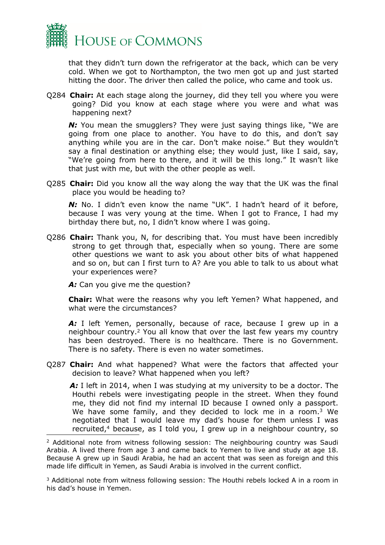

that they didn't turn down the refrigerator at the back, which can be very cold. When we got to Northampton, the two men got up and just started hitting the door. The driver then called the police, who came and took us.

Q284 **Chair:** At each stage along the journey, did they tell you where you were going? Did you know at each stage where you were and what was happening next?

*N:* You mean the smugglers? They were just saying things like, "We are going from one place to another. You have to do this, and don't say anything while you are in the car. Don't make noise." But they wouldn't say a final destination or anything else; they would just, like I said, say, "We're going from here to there, and it will be this long." It wasn't like that just with me, but with the other people as well.

Q285 **Chair:** Did you know all the way along the way that the UK was the final place you would be heading to?

*N:* No. I didn't even know the name "UK". I hadn't heard of it before, because I was very young at the time. When I got to France, I had my birthday there but, no, I didn't know where I was going.

Q286 **Chair:** Thank you, N, for describing that. You must have been incredibly strong to get through that, especially when so young. There are some other questions we want to ask you about other bits of what happened and so on, but can I first turn to A? Are you able to talk to us about what your experiences were?

A: Can you give me the question?

**Chair:** What were the reasons why you left Yemen? What happened, and what were the circumstances?

A: I left Yemen, personally, because of race, because I grew up in a neighbour country.<sup>2</sup> You all know that over the last few years my country has been destroyed. There is no healthcare. There is no Government. There is no safety. There is even no water sometimes.

Q287 **Chair:** And what happened? What were the factors that affected your decision to leave? What happened when you left?

*A:* I left in 2014, when I was studying at my university to be a doctor. The Houthi rebels were investigating people in the street. When they found me, they did not find my internal ID because I owned only a passport. We have some family, and they decided to lock me in a room.<sup>3</sup> We negotiated that I would leave my dad's house for them unless I was recruited, $4$  because, as I told you, I grew up in a neighbour country, so

<sup>&</sup>lt;sup>2</sup> Additional note from witness following session: The neighbouring country was Saudi Arabia. A lived there from age 3 and came back to Yemen to live and study at age 18. Because A grew up in Saudi Arabia, he had an accent that was seen as foreign and this made life difficult in Yemen, as Saudi Arabia is involved in the current conflict.

<sup>3</sup> Additional note from witness following session: The Houthi rebels locked A in a room in his dad's house in Yemen.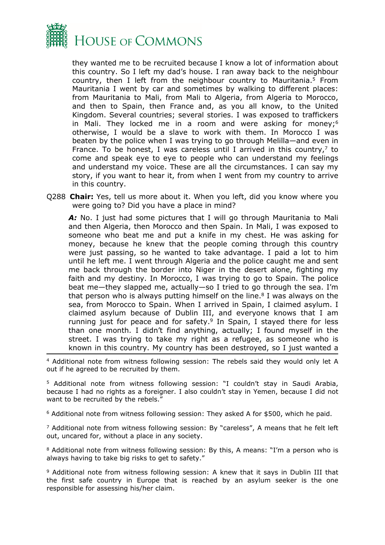

they wanted me to be recruited because I know a lot of information about this country. So I left my dad's house. I ran away back to the neighbour country, then I left from the neighbour country to Mauritania.<sup>5</sup> From Mauritania I went by car and sometimes by walking to different places: from Mauritania to Mali, from Mali to Algeria, from Algeria to Morocco, and then to Spain, then France and, as you all know, to the United Kingdom. Several countries; several stories. I was exposed to traffickers in Mali. They locked me in a room and were asking for money; $6$ otherwise, I would be a slave to work with them. In Morocco I was beaten by the police when I was trying to go through Melilla—and even in France. To be honest, I was careless until I arrived in this country, $7$  to come and speak eye to eye to people who can understand my feelings and understand my voice. These are all the circumstances. I can say my story, if you want to hear it, from when I went from my country to arrive in this country.

Q288 **Chair:** Yes, tell us more about it. When you left, did you know where you were going to? Did you have a place in mind?

A: No. I just had some pictures that I will go through Mauritania to Mali and then Algeria, then Morocco and then Spain. In Mali, I was exposed to someone who beat me and put a knife in my chest. He was asking for money, because he knew that the people coming through this country were just passing, so he wanted to take advantage. I paid a lot to him until he left me. I went through Algeria and the police caught me and sent me back through the border into Niger in the desert alone, fighting my faith and my destiny. In Morocco, I was trying to go to Spain. The police beat me—they slapped me, actually—so I tried to go through the sea. I'm that person who is always putting himself on the line. $8$  I was always on the sea, from Morocco to Spain. When I arrived in Spain, I claimed asylum. I claimed asylum because of Dublin III, and everyone knows that I am running just for peace and for safety. $9$  In Spain, I stayed there for less than one month. I didn't find anything, actually; I found myself in the street. I was trying to take my right as a refugee, as someone who is known in this country. My country has been destroyed, so I just wanted a

<sup>4</sup> Additional note from witness following session: The rebels said they would only let A out if he agreed to be recruited by them.

<sup>5</sup> Additional note from witness following session: "I couldn't stay in Saudi Arabia, because I had no rights as a foreigner. I also couldn't stay in Yemen, because I did not want to be recruited by the rebels."

<sup>6</sup> Additional note from witness following session: They asked A for \$500, which he paid.

<sup>7</sup> Additional note from witness following session: By "careless", A means that he felt left out, uncared for, without a place in any society.

<sup>8</sup> Additional note from witness following session: By this, A means: "I'm a person who is always having to take big risks to get to safety."

<sup>9</sup> Additional note from witness following session: A knew that it says in Dublin III that the first safe country in Europe that is reached by an asylum seeker is the one responsible for assessing his/her claim.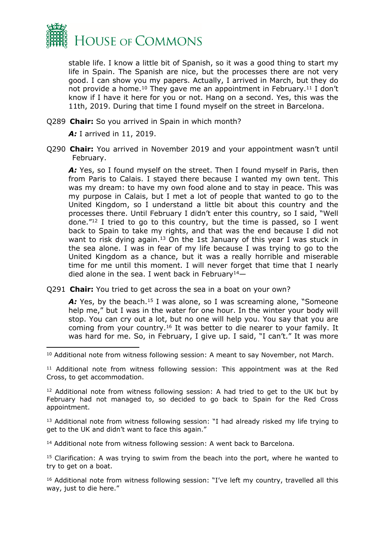

stable life. I know a little bit of Spanish, so it was a good thing to start my life in Spain. The Spanish are nice, but the processes there are not very good. I can show you my papers. Actually, I arrived in March, but they do not provide a home.<sup>10</sup> They gave me an appointment in February.<sup>11</sup> I don't know if I have it here for you or not. Hang on a second. Yes, this was the 11th, 2019. During that time I found myself on the street in Barcelona.

Q289 **Chair:** So you arrived in Spain in which month?

*A:* I arrived in 11, 2019.

Q290 **Chair:** You arrived in November 2019 and your appointment wasn't until February.

A: Yes, so I found myself on the street. Then I found myself in Paris, then from Paris to Calais. I stayed there because I wanted my own tent. This was my dream: to have my own food alone and to stay in peace. This was my purpose in Calais, but I met a lot of people that wanted to go to the United Kingdom, so I understand a little bit about this country and the processes there. Until February I didn't enter this country, so I said, "Well done."<sup>12</sup> I tried to go to this country, but the time is passed, so I went back to Spain to take my rights, and that was the end because I did not want to risk dying again.<sup>13</sup> On the 1st January of this year I was stuck in the sea alone. I was in fear of my life because I was trying to go to the United Kingdom as a chance, but it was a really horrible and miserable time for me until this moment. I will never forget that time that I nearly died alone in the sea. I went back in February<sup>14</sup> $-$ 

Q291 **Chair:** You tried to get across the sea in a boat on your own?

A: Yes, by the beach.<sup>15</sup> I was alone, so I was screaming alone, "Someone help me," but I was in the water for one hour. In the winter your body will stop. You can cry out a lot, but no one will help you. You say that you are coming from your country.<sup>16</sup> It was better to die nearer to your family. It was hard for me. So, in February, I give up. I said, "I can't." It was more

<sup>10</sup> Additional note from witness following session: A meant to say November, not March.

<sup>11</sup> Additional note from witness following session: This appointment was at the Red Cross, to get accommodation.

<sup>12</sup> Additional note from witness following session: A had tried to get to the UK but by February had not managed to, so decided to go back to Spain for the Red Cross appointment.

<sup>13</sup> Additional note from witness following session: "I had already risked my life trying to get to the UK and didn't want to face this again."

<sup>14</sup> Additional note from witness following session: A went back to Barcelona.

<sup>15</sup> Clarification: A was trying to swim from the beach into the port, where he wanted to try to get on a boat.

<sup>16</sup> Additional note from witness following session: "I've left my country, travelled all this way, just to die here."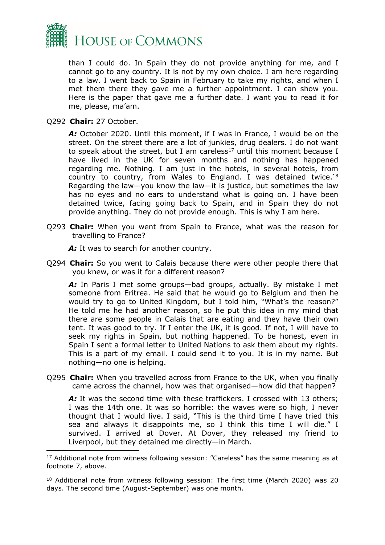

than I could do. In Spain they do not provide anything for me, and I cannot go to any country. It is not by my own choice. I am here regarding to a law. I went back to Spain in February to take my rights, and when I met them there they gave me a further appointment. I can show you. Here is the paper that gave me a further date. I want you to read it for me, please, ma'am.

Q292 **Chair:** 27 October.

*A:* October 2020. Until this moment, if I was in France, I would be on the street. On the street there are a lot of junkies, drug dealers. I do not want to speak about the street, but I am careless<sup>17</sup> until this moment because I have lived in the UK for seven months and nothing has happened regarding me. Nothing. I am just in the hotels, in several hotels, from country to country, from Wales to England. I was detained twice.<sup>18</sup> Regarding the law—you know the law—it is justice, but sometimes the law has no eyes and no ears to understand what is going on. I have been detained twice, facing going back to Spain, and in Spain they do not provide anything. They do not provide enough. This is why I am here.

Q293 **Chair:** When you went from Spain to France, what was the reason for travelling to France?

A: It was to search for another country.

Q294 **Chair:** So you went to Calais because there were other people there that you knew, or was it for a different reason?

A: In Paris I met some groups—bad groups, actually. By mistake I met someone from Eritrea. He said that he would go to Belgium and then he would try to go to United Kingdom, but I told him, "What's the reason?" He told me he had another reason, so he put this idea in my mind that there are some people in Calais that are eating and they have their own tent. It was good to try. If I enter the UK, it is good. If not, I will have to seek my rights in Spain, but nothing happened. To be honest, even in Spain I sent a formal letter to United Nations to ask them about my rights. This is a part of my email. I could send it to you. It is in my name. But nothing—no one is helping.

Q295 **Chair:** When you travelled across from France to the UK, when you finally came across the channel, how was that organised—how did that happen?

A: It was the second time with these traffickers. I crossed with 13 others; I was the 14th one. It was so horrible: the waves were so high, I never thought that I would live. I said, "This is the third time I have tried this sea and always it disappoints me, so I think this time I will die." I survived. I arrived at Dover. At Dover, they released my friend to Liverpool, but they detained me directly—in March.

<sup>&</sup>lt;sup>17</sup> Additional note from witness following session: "Careless" has the same meaning as at footnote 7, above.

<sup>18</sup> Additional note from witness following session: The first time (March 2020) was 20 days. The second time (August-September) was one month.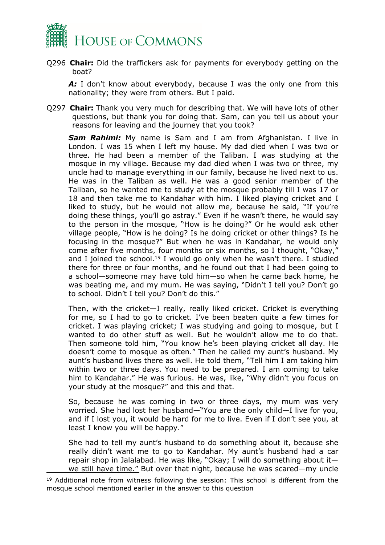

Q296 **Chair:** Did the traffickers ask for payments for everybody getting on the boat?

A: I don't know about everybody, because I was the only one from this nationality; they were from others. But I paid.

Q297 **Chair:** Thank you very much for describing that. We will have lots of other questions, but thank you for doing that. Sam, can you tell us about your reasons for leaving and the journey that you took?

*Sam Rahimi:* My name is Sam and I am from Afghanistan. I live in London. I was 15 when I left my house. My dad died when I was two or three. He had been a member of the Taliban. I was studying at the mosque in my village. Because my dad died when I was two or three, my uncle had to manage everything in our family, because he lived next to us. He was in the Taliban as well. He was a good senior member of the Taliban, so he wanted me to study at the mosque probably till I was 17 or 18 and then take me to Kandahar with him. I liked playing cricket and I liked to study, but he would not allow me, because he said, "If you're doing these things, you'll go astray." Even if he wasn't there, he would say to the person in the mosque, "How is he doing?" Or he would ask other village people, "How is he doing? Is he doing cricket or other things? Is he focusing in the mosque?" But when he was in Kandahar, he would only come after five months, four months or six months, so I thought, "Okay," and I joined the school.<sup>19</sup> I would go only when he wasn't there. I studied there for three or four months, and he found out that I had been going to a school—someone may have told him—so when he came back home, he was beating me, and my mum. He was saying, "Didn't I tell you? Don't go to school. Didn't I tell you? Don't do this."

Then, with the cricket—I really, really liked cricket. Cricket is everything for me, so I had to go to cricket. I've been beaten quite a few times for cricket. I was playing cricket; I was studying and going to mosque, but I wanted to do other stuff as well. But he wouldn't allow me to do that. Then someone told him, "You know he's been playing cricket all day. He doesn't come to mosque as often." Then he called my aunt's husband. My aunt's husband lives there as well. He told them, "Tell him I am taking him within two or three days. You need to be prepared. I am coming to take him to Kandahar." He was furious. He was, like, "Why didn't you focus on your study at the mosque?" and this and that.

So, because he was coming in two or three days, my mum was very worried. She had lost her husband—"You are the only child—I live for you, and if I lost you, it would be hard for me to live. Even if I don't see you, at least I know you will be happy."

She had to tell my aunt's husband to do something about it, because she really didn't want me to go to Kandahar. My aunt's husband had a car repair shop in Jalalabad. He was like, "Okay; I will do something about it we still have time." But over that night, because he was scared—my uncle

<sup>&</sup>lt;sup>19</sup> Additional note from witness following the session: This school is different from the mosque school mentioned earlier in the answer to this question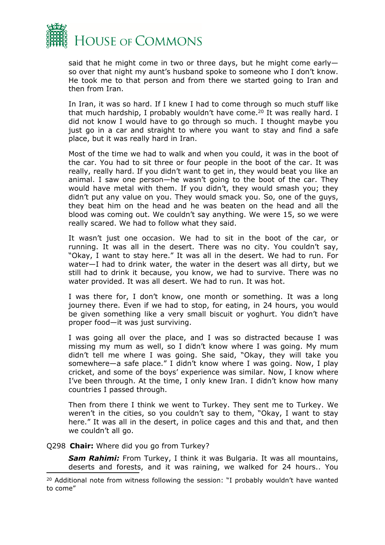

said that he might come in two or three days, but he might come early so over that night my aunt's husband spoke to someone who I don't know. He took me to that person and from there we started going to Iran and then from Iran.

In Iran, it was so hard. If I knew I had to come through so much stuff like that much hardship, I probably wouldn't have come.<sup>20</sup> It was really hard. I did not know I would have to go through so much. I thought maybe you just go in a car and straight to where you want to stay and find a safe place, but it was really hard in Iran.

Most of the time we had to walk and when you could, it was in the boot of the car. You had to sit three or four people in the boot of the car. It was really, really hard. If you didn't want to get in, they would beat you like an animal. I saw one person—he wasn't going to the boot of the car. They would have metal with them. If you didn't, they would smash you; they didn't put any value on you. They would smack you. So, one of the guys, they beat him on the head and he was beaten on the head and all the blood was coming out. We couldn't say anything. We were 15, so we were really scared. We had to follow what they said.

It wasn't just one occasion. We had to sit in the boot of the car, or running. It was all in the desert. There was no city. You couldn't say, "Okay, I want to stay here." It was all in the desert. We had to run. For water—I had to drink water, the water in the desert was all dirty, but we still had to drink it because, you know, we had to survive. There was no water provided. It was all desert. We had to run. It was hot.

I was there for, I don't know, one month or something. It was a long journey there. Even if we had to stop, for eating, in 24 hours, you would be given something like a very small biscuit or yoghurt. You didn't have proper food—it was just surviving.

I was going all over the place, and I was so distracted because I was missing my mum as well, so I didn't know where I was going. My mum didn't tell me where I was going. She said, "Okay, they will take you somewhere—a safe place." I didn't know where I was going. Now, I play cricket, and some of the boys' experience was similar. Now, I know where I've been through. At the time, I only knew Iran. I didn't know how many countries I passed through.

Then from there I think we went to Turkey. They sent me to Turkey. We weren't in the cities, so you couldn't say to them, "Okay, I want to stay here." It was all in the desert, in police cages and this and that, and then we couldn't all go.

Q298 **Chair:** Where did you go from Turkey?

*Sam Rahimi:* From Turkey, I think it was Bulgaria. It was all mountains, deserts and forests, and it was raining, we walked for 24 hours.. You

<sup>&</sup>lt;sup>20</sup> Additional note from witness following the session: "I probably wouldn't have wanted to come"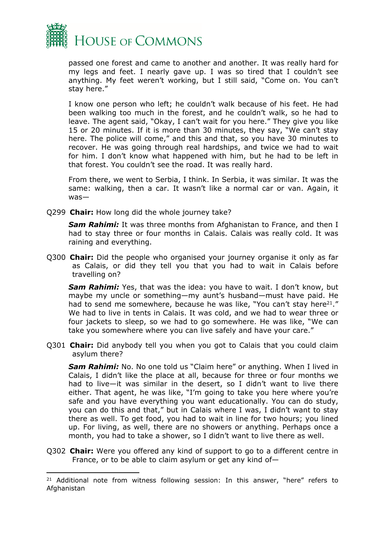

passed one forest and came to another and another. It was really hard for my legs and feet. I nearly gave up. I was so tired that I couldn't see anything. My feet weren't working, but I still said, "Come on. You can't stay here."

I know one person who left; he couldn't walk because of his feet. He had been walking too much in the forest, and he couldn't walk, so he had to leave. The agent said, "Okay, I can't wait for you here." They give you like 15 or 20 minutes. If it is more than 30 minutes, they say, "We can't stay here. The police will come," and this and that, so you have 30 minutes to recover. He was going through real hardships, and twice we had to wait for him. I don't know what happened with him, but he had to be left in that forest. You couldn't see the road. It was really hard.

From there, we went to Serbia, I think. In Serbia, it was similar. It was the same: walking, then a car. It wasn't like a normal car or van. Again, it was—

Q299 **Chair:** How long did the whole journey take?

**Sam Rahimi:** It was three months from Afghanistan to France, and then I had to stay three or four months in Calais. Calais was really cold. It was raining and everything.

Q300 **Chair:** Did the people who organised your journey organise it only as far as Calais, or did they tell you that you had to wait in Calais before travelling on?

*Sam Rahimi:* Yes, that was the idea: you have to wait. I don't know, but maybe my uncle or something—my aunt's husband—must have paid. He had to send me somewhere, because he was like, "You can't stay here<sup>21</sup>." We had to live in tents in Calais. It was cold, and we had to wear three or four jackets to sleep, so we had to go somewhere. He was like, "We can take you somewhere where you can live safely and have your care."

Q301 **Chair:** Did anybody tell you when you got to Calais that you could claim asylum there?

**Sam Rahimi:** No. No one told us "Claim here" or anything. When I lived in Calais, I didn't like the place at all, because for three or four months we had to live—it was similar in the desert, so I didn't want to live there either. That agent, he was like, "I'm going to take you here where you're safe and you have everything you want educationally. You can do study, you can do this and that," but in Calais where I was, I didn't want to stay there as well. To get food, you had to wait in line for two hours; you lined up. For living, as well, there are no showers or anything. Perhaps once a month, you had to take a shower, so I didn't want to live there as well.

Q302 **Chair:** Were you offered any kind of support to go to a different centre in France, or to be able to claim asylum or get any kind of—

<sup>&</sup>lt;sup>21</sup> Additional note from witness following session: In this answer, "here" refers to Afghanistan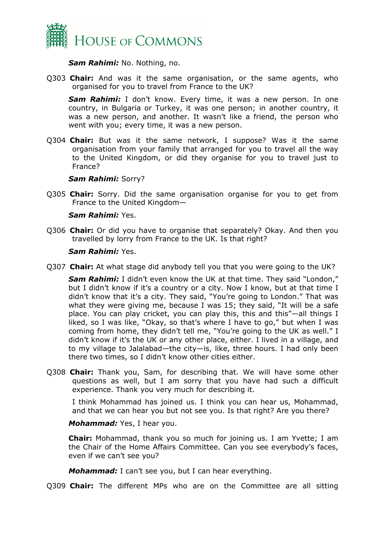

*Sam Rahimi:* No. Nothing, no.

Q303 **Chair:** And was it the same organisation, or the same agents, who organised for you to travel from France to the UK?

*Sam Rahimi:* I don't know. Every time, it was a new person. In one country, in Bulgaria or Turkey, it was one person; in another country, it was a new person, and another. It wasn't like a friend, the person who went with you; every time, it was a new person.

Q304 **Chair:** But was it the same network, I suppose? Was it the same organisation from your family that arranged for you to travel all the way to the United Kingdom, or did they organise for you to travel just to France?

#### *Sam Rahimi:* Sorry?

Q305 **Chair:** Sorry. Did the same organisation organise for you to get from France to the United Kingdom—

#### *Sam Rahimi:* Yes.

Q306 **Chair:** Or did you have to organise that separately? Okay. And then you travelled by lorry from France to the UK. Is that right?

#### *Sam Rahimi:* Yes.

Q307 **Chair:** At what stage did anybody tell you that you were going to the UK?

*Sam Rahimi:* I didn't even know the UK at that time. They said "London," but I didn't know if it's a country or a city. Now I know, but at that time I didn't know that it's a city. They said, "You're going to London." That was what they were giving me, because I was 15; they said, "It will be a safe place. You can play cricket, you can play this, this and this"—all things I liked, so I was like, "Okay, so that's where I have to go," but when I was coming from home, they didn't tell me, "You're going to the UK as well." I didn't know if it's the UK or any other place, either. I lived in a village, and to my village to Jalalabad—the city—is, like, three hours. I had only been there two times, so I didn't know other cities either.

Q308 **Chair:** Thank you, Sam, for describing that. We will have some other questions as well, but I am sorry that you have had such a difficult experience. Thank you very much for describing it.

I think Mohammad has joined us. I think you can hear us, Mohammad, and that we can hear you but not see you. Is that right? Are you there?

#### *Mohammad:* Yes, I hear you.

**Chair:** Mohammad, thank you so much for joining us. I am Yvette; I am the Chair of the Home Affairs Committee. Can you see everybody's faces, even if we can't see you?

*Mohammad:* I can't see you, but I can hear everything.

Q309 **Chair:** The different MPs who are on the Committee are all sitting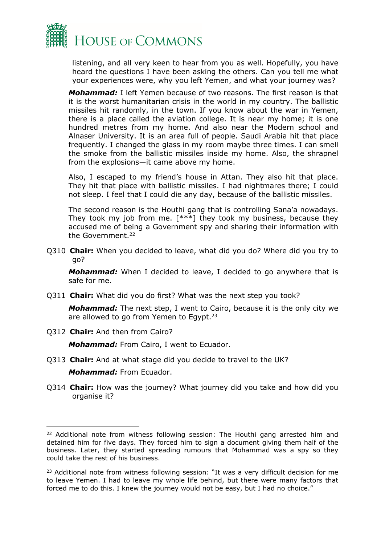

listening, and all very keen to hear from you as well. Hopefully, you have heard the questions I have been asking the others. Can you tell me what your experiences were, why you left Yemen, and what your journey was?

*Mohammad:* I left Yemen because of two reasons. The first reason is that it is the worst humanitarian crisis in the world in my country. The ballistic missiles hit randomly, in the town. If you know about the war in Yemen, there is a place called the aviation college. It is near my home; it is one hundred metres from my home. And also near the Modern school and Alnaser University. It is an area full of people. Saudi Arabia hit that place frequently. I changed the glass in my room maybe three times. I can smell the smoke from the ballistic missiles inside my home. Also, the shrapnel from the explosions—it came above my home.

Also, I escaped to my friend's house in Attan. They also hit that place. They hit that place with ballistic missiles. I had nightmares there; I could not sleep. I feel that I could die any day, because of the ballistic missiles.

The second reason is the Houthi gang that is controlling Sana'a nowadays. They took my job from me.  $[***]$  they took my business, because they accused me of being a Government spy and sharing their information with the Government.<sup>22</sup>

Q310 **Chair:** When you decided to leave, what did you do? Where did you try to go?

*Mohammad:* When I decided to leave, I decided to go anywhere that is safe for me.

Q311 **Chair:** What did you do first? What was the next step you took?

*Mohammad:* The next step, I went to Cairo, because it is the only city we are allowed to go from Yemen to Egypt.<sup>23</sup>

Q312 **Chair:** And then from Cairo?

*Mohammad:* From Cairo, I went to Ecuador.

- Q313 **Chair:** And at what stage did you decide to travel to the UK? *Mohammad:* From Ecuador.
- Q314 **Chair:** How was the journey? What journey did you take and how did you organise it?

 $22$  Additional note from witness following session: The Houthi gang arrested him and detained him for five days. They forced him to sign a document giving them half of the business. Later, they started spreading rumours that Mohammad was a spy so they could take the rest of his business.

<sup>&</sup>lt;sup>23</sup> Additional note from witness following session: "It was a very difficult decision for me to leave Yemen. I had to leave my whole life behind, but there were many factors that forced me to do this. I knew the journey would not be easy, but I had no choice."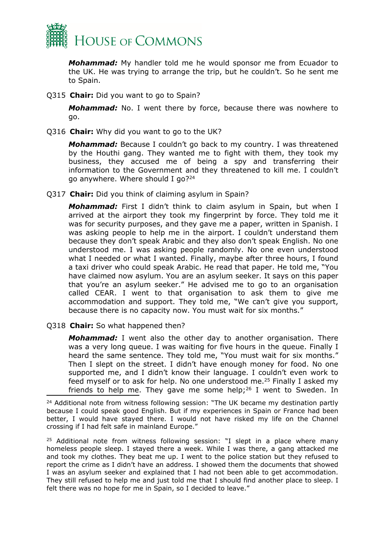

*Mohammad:* My handler told me he would sponsor me from Ecuador to the UK. He was trying to arrange the trip, but he couldn't. So he sent me to Spain.

Q315 **Chair:** Did you want to go to Spain?

*Mohammad:* No. I went there by force, because there was nowhere to go.

Q316 **Chair:** Why did you want to go to the UK?

*Mohammad:* Because I couldn't go back to my country. I was threatened by the Houthi gang. They wanted me to fight with them, they took my business, they accused me of being a spy and transferring their information to the Government and they threatened to kill me. I couldn't go anywhere. Where should I go?<sup>24</sup>

Q317 **Chair:** Did you think of claiming asylum in Spain?

*Mohammad:* First I didn't think to claim asylum in Spain, but when I arrived at the airport they took my fingerprint by force. They told me it was for security purposes, and they gave me a paper, written in Spanish. I was asking people to help me in the airport. I couldn't understand them because they don't speak Arabic and they also don't speak English. No one understood me. I was asking people randomly. No one even understood what I needed or what I wanted. Finally, maybe after three hours, I found a taxi driver who could speak Arabic. He read that paper. He told me, "You have claimed now asylum. You are an asylum seeker. It says on this paper that you're an asylum seeker." He advised me to go to an organisation called CEAR. I went to that organisation to ask them to give me accommodation and support. They told me, "We can't give you support, because there is no capacity now. You must wait for six months."

Q318 **Chair:** So what happened then?

*Mohammad:* I went also the other day to another organisation. There was a very long queue. I was waiting for five hours in the queue. Finally I heard the same sentence. They told me, "You must wait for six months." Then I slept on the street. I didn't have enough money for food. No one supported me, and I didn't know their language. I couldn't even work to feed myself or to ask for help. No one understood me.<sup>25</sup> Finally I asked my friends to help me. They gave me some help;<sup>26</sup> I went to Sweden. In

<sup>25</sup> Additional note from witness following session: "I slept in a place where many homeless people sleep. I stayed there a week. While I was there, a gang attacked me and took my clothes. They beat me up. I went to the police station but they refused to report the crime as I didn't have an address. I showed them the documents that showed I was an asylum seeker and explained that I had not been able to get accommodation. They still refused to help me and just told me that I should find another place to sleep. I felt there was no hope for me in Spain, so I decided to leave."

<sup>&</sup>lt;sup>24</sup> Additional note from witness following session: "The UK became my destination partly because I could speak good English. But if my experiences in Spain or France had been better, I would have stayed there. I would not have risked my life on the Channel crossing if I had felt safe in mainland Europe."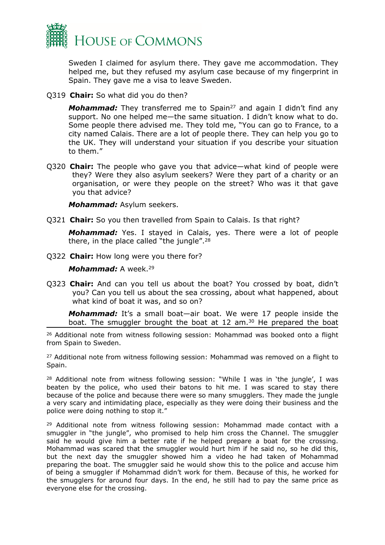

Sweden I claimed for asylum there. They gave me accommodation. They helped me, but they refused my asylum case because of my fingerprint in Spain. They gave me a visa to leave Sweden.

Q319 **Chair:** So what did you do then?

*Mohammad:* They transferred me to Spain<sup>27</sup> and again I didn't find any support. No one helped me—the same situation. I didn't know what to do. Some people there advised me. They told me, "You can go to France, to a city named Calais. There are a lot of people there. They can help you go to the UK. They will understand your situation if you describe your situation to them."

Q320 **Chair:** The people who gave you that advice—what kind of people were they? Were they also asylum seekers? Were they part of a charity or an organisation, or were they people on the street? Who was it that gave you that advice?

*Mohammad:* Asylum seekers.

Q321 **Chair:** So you then travelled from Spain to Calais. Is that right?

*Mohammad:* Yes. I stayed in Calais, yes. There were a lot of people there, in the place called "the jungle".<sup>28</sup>

Q322 **Chair:** How long were you there for?

*Mohammad:* A week.<sup>29</sup>

Q323 **Chair:** And can you tell us about the boat? You crossed by boat, didn't you? Can you tell us about the sea crossing, about what happened, about what kind of boat it was, and so on?

*Mohammad:* It's a small boat—air boat. We were 17 people inside the boat. The smuggler brought the boat at 12 am.<sup>30</sup> He prepared the boat

<sup>26</sup> Additional note from witness following session: Mohammad was booked onto a flight from Spain to Sweden.

<sup>27</sup> Additional note from witness following session: Mohammad was removed on a flight to Spain.

<sup>28</sup> Additional note from witness following session: "While I was in 'the jungle', I was beaten by the police, who used their batons to hit me. I was scared to stay there because of the police and because there were so many smugglers. They made the jungle a very scary and intimidating place, especially as they were doing their business and the police were doing nothing to stop it."

<sup>29</sup> Additional note from witness following session: Mohammad made contact with a smuggler in "the jungle", who promised to help him cross the Channel. The smuggler said he would give him a better rate if he helped prepare a boat for the crossing. Mohammad was scared that the smuggler would hurt him if he said no, so he did this, but the next day the smuggler showed him a video he had taken of Mohammad preparing the boat. The smuggler said he would show this to the police and accuse him of being a smuggler if Mohammad didn't work for them. Because of this, he worked for the smugglers for around four days. In the end, he still had to pay the same price as everyone else for the crossing.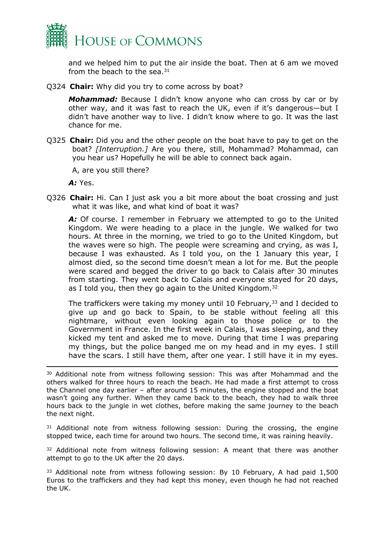

and we helped him to put the air inside the boat. Then at 6 am we moved from the beach to the sea. $31$ 

Q324 **Chair:** Why did you try to come across by boat?

*Mohammad:* Because I didn't know anyone who can cross by car or by other way, and it was fast to reach the UK, even if it's dangerous—but I didn't have another way to live. I didn't know where to go. It was the last chance for me.

Q325 **Chair:** Did you and the other people on the boat have to pay to get on the boat? *[Interruption.]* Are you there, still, Mohammad? Mohammad, can you hear us? Hopefully he will be able to connect back again.

A, are you still there?

*A:* Yes.

Q326 **Chair:** Hi. Can I just ask you a bit more about the boat crossing and just what it was like, and what kind of boat it was?

A: Of course. I remember in February we attempted to go to the United Kingdom. We were heading to a place in the jungle. We walked for two hours. At three in the morning, we tried to go to the United Kingdom, but the waves were so high. The people were screaming and crying, as was I, because I was exhausted. As I told you, on the 1 January this year, I almost died, so the second time doesn't mean a lot for me. But the people were scared and begged the driver to go back to Calais after 30 minutes from starting. They went back to Calais and everyone stayed for 20 days, as I told you, then they go again to the United Kingdom.<sup>32</sup>

The traffickers were taking my money until 10 February,<sup>33</sup> and I decided to give up and go back to Spain, to be stable without feeling all this nightmare, without even looking again to those police or to the Government in France. In the first week in Calais, I was sleeping, and they kicked my tent and asked me to move. During that time I was preparing my things, but the police banged me on my head and in my eyes. I still have the scars. I still have them, after one year. I still have it in my eyes.

<sup>31</sup> Additional note from witness following session: During the crossing, the engine stopped twice, each time for around two hours. The second time, it was raining heavily.

 $32$  Additional note from witness following session: A meant that there was another attempt to go to the UK after the 20 days.

<sup>33</sup> Additional note from witness following session: By 10 February, A had paid 1,500 Euros to the traffickers and they had kept this money, even though he had not reached the UK.

<sup>&</sup>lt;sup>30</sup> Additional note from witness following session: This was after Mohammad and the others walked for three hours to reach the beach. He had made a first attempt to cross the Channel one day earlier – after around 15 minutes, the engine stopped and the boat wasn't going any further. When they came back to the beach, they had to walk three hours back to the jungle in wet clothes, before making the same journey to the beach the next night.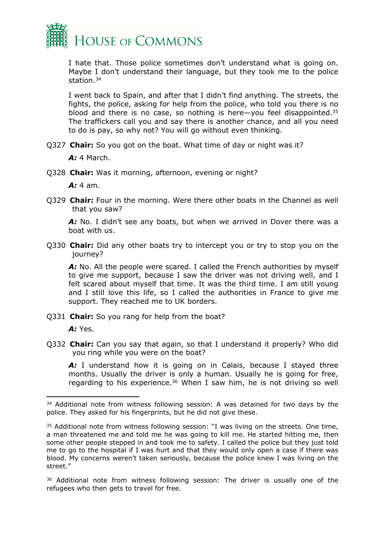

I hate that. Those police sometimes don't understand what is going on. Maybe I don't understand their language, but they took me to the police station.<sup>34</sup>

I went back to Spain, and after that I didn't find anything. The streets, the fights, the police, asking for help from the police, who told you there is no blood and there is no case, so nothing is here—you feel disappointed.<sup>35</sup> The traffickers call you and say there is another chance, and all you need to do is pay, so why not? You will go without even thinking.

Q327 **Chair:** So you got on the boat. What time of day or night was it?

*A:* 4 March.

Q328 **Chair:** Was it morning, afternoon, evening or night?

*A:* 4 am.

Q329 **Chair:** Four in the morning. Were there other boats in the Channel as well that you saw?

A: No. I didn't see any boats, but when we arrived in Dover there was a boat with us.

Q330 **Chair:** Did any other boats try to intercept you or try to stop you on the journey?

A: No. All the people were scared. I called the French authorities by myself to give me support, because I saw the driver was not driving well, and I felt scared about myself that time. It was the third time. I am still young and I still love this life, so I called the authorities in France to give me support. They reached me to UK borders.

Q331 **Chair:** So you rang for help from the boat?

*A:* Yes.

Q332 **Chair:** Can you say that again, so that I understand it properly? Who did you ring while you were on the boat?

A: I understand how it is going on in Calais, because I stayed three months. Usually the driver is only a human. Usually he is going for free, regarding to his experience.<sup>36</sup> When I saw him, he is not driving so well

<sup>&</sup>lt;sup>34</sup> Additional note from witness following session: A was detained for two days by the police. They asked for his fingerprints, but he did not give these.

<sup>&</sup>lt;sup>35</sup> Additional note from witness following session: "I was living on the streets. One time, a man threatened me and told me he was going to kill me. He started hitting me, then some other people stepped in and took me to safety. I called the police but they just told me to go to the hospital if I was hurt and that they would only open a case if there was blood. My concerns weren't taken seriously, because the police knew I was living on the street."

<sup>36</sup> Additional note from witness following session: The driver is usually one of the refugees who then gets to travel for free.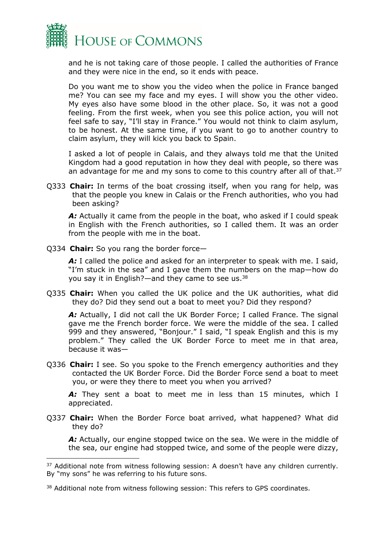

and he is not taking care of those people. I called the authorities of France and they were nice in the end, so it ends with peace.

Do you want me to show you the video when the police in France banged me? You can see my face and my eyes. I will show you the other video. My eyes also have some blood in the other place. So, it was not a good feeling. From the first week, when you see this police action, you will not feel safe to say, "I'll stay in France." You would not think to claim asylum, to be honest. At the same time, if you want to go to another country to claim asylum, they will kick you back to Spain.

I asked a lot of people in Calais, and they always told me that the United Kingdom had a good reputation in how they deal with people, so there was an advantage for me and my sons to come to this country after all of that. $37$ 

Q333 **Chair:** In terms of the boat crossing itself, when you rang for help, was that the people you knew in Calais or the French authorities, who you had been asking?

*A:* Actually it came from the people in the boat, who asked if I could speak in English with the French authorities, so I called them. It was an order from the people with me in the boat.

Q334 **Chair:** So you rang the border force—

*A:* I called the police and asked for an interpreter to speak with me. I said, "I'm stuck in the sea" and I gave them the numbers on the map—how do you say it in English?—and they came to see us.<sup>38</sup>

Q335 **Chair:** When you called the UK police and the UK authorities, what did they do? Did they send out a boat to meet you? Did they respond?

A: Actually, I did not call the UK Border Force; I called France. The signal gave me the French border force. We were the middle of the sea. I called 999 and they answered, "Bonjour." I said, "I speak English and this is my problem." They called the UK Border Force to meet me in that area, because it was—

Q336 **Chair:** I see. So you spoke to the French emergency authorities and they contacted the UK Border Force. Did the Border Force send a boat to meet you, or were they there to meet you when you arrived?

A: They sent a boat to meet me in less than 15 minutes, which I appreciated.

Q337 **Chair:** When the Border Force boat arrived, what happened? What did they do?

A: Actually, our engine stopped twice on the sea. We were in the middle of the sea, our engine had stopped twice, and some of the people were dizzy,

<sup>&</sup>lt;sup>37</sup> Additional note from witness following session: A doesn't have any children currently. By "my sons" he was referring to his future sons.

<sup>38</sup> Additional note from witness following session: This refers to GPS coordinates.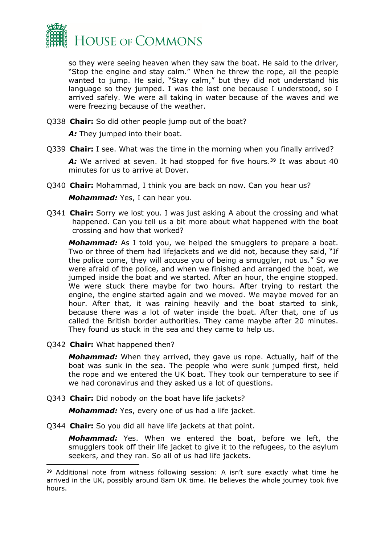

so they were seeing heaven when they saw the boat. He said to the driver, "Stop the engine and stay calm." When he threw the rope, all the people wanted to jump. He said, "Stay calm," but they did not understand his language so they jumped. I was the last one because I understood, so I arrived safely. We were all taking in water because of the waves and we were freezing because of the weather.

Q338 **Chair:** So did other people jump out of the boat?

A: They jumped into their boat.

Q339 **Chair:** I see. What was the time in the morning when you finally arrived?

A: We arrived at seven. It had stopped for five hours.<sup>39</sup> It was about 40 minutes for us to arrive at Dover.

Q340 **Chair:** Mohammad, I think you are back on now. Can you hear us?

*Mohammad:* Yes, I can hear you.

Q341 **Chair:** Sorry we lost you. I was just asking A about the crossing and what happened. Can you tell us a bit more about what happened with the boat crossing and how that worked?

*Mohammad:* As I told you, we helped the smugglers to prepare a boat. Two or three of them had lifejackets and we did not, because they said, "If the police come, they will accuse you of being a smuggler, not us." So we were afraid of the police, and when we finished and arranged the boat, we jumped inside the boat and we started. After an hour, the engine stopped. We were stuck there maybe for two hours. After trying to restart the engine, the engine started again and we moved. We maybe moved for an hour. After that, it was raining heavily and the boat started to sink, because there was a lot of water inside the boat. After that, one of us called the British border authorities. They came maybe after 20 minutes. They found us stuck in the sea and they came to help us.

Q342 **Chair:** What happened then?

*Mohammad:* When they arrived, they gave us rope. Actually, half of the boat was sunk in the sea. The people who were sunk jumped first, held the rope and we entered the UK boat. They took our temperature to see if we had coronavirus and they asked us a lot of questions.

Q343 **Chair:** Did nobody on the boat have life jackets?

*Mohammad:* Yes, every one of us had a life jacket.

Q344 **Chair:** So you did all have life jackets at that point.

*Mohammad:* Yes. When we entered the boat, before we left, the smugglers took off their life jacket to give it to the refugees, to the asylum seekers, and they ran. So all of us had life jackets.

<sup>&</sup>lt;sup>39</sup> Additional note from witness following session: A isn't sure exactly what time he arrived in the UK, possibly around 8am UK time. He believes the whole journey took five hours.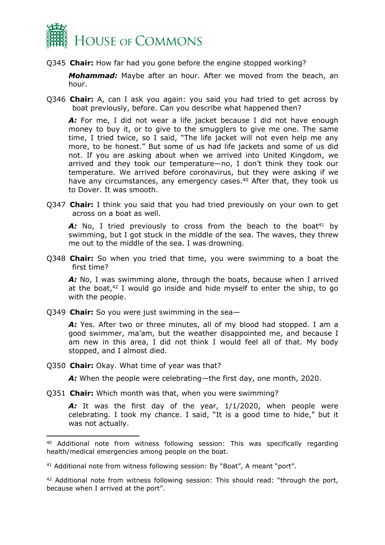

Q345 **Chair:** How far had you gone before the engine stopped working?

*Mohammad:* Maybe after an hour. After we moved from the beach, an hour.

Q346 **Chair:** A, can I ask you again: you said you had tried to get across by boat previously, before. Can you describe what happened then?

A: For me, I did not wear a life jacket because I did not have enough money to buy it, or to give to the smugglers to give me one. The same time, I tried twice, so I said, "The life jacket will not even help me any more, to be honest." But some of us had life jackets and some of us did not. If you are asking about when we arrived into United Kingdom, we arrived and they took our temperature—no, I don't think they took our temperature. We arrived before coronavirus, but they were asking if we have any circumstances, any emergency cases.<sup>40</sup> After that, they took us to Dover. It was smooth.

Q347 **Chair:** I think you said that you had tried previously on your own to get across on a boat as well.

A: No, I tried previously to cross from the beach to the boat<sup>41</sup> by swimming, but I got stuck in the middle of the sea. The waves, they threw me out to the middle of the sea. I was drowning.

Q348 **Chair:** So when you tried that time, you were swimming to a boat the first time?

A: No, I was swimming alone, through the boats, because when I arrived at the boat, $42$  I would go inside and hide myself to enter the ship, to go with the people.

Q349 **Chair:** So you were just swimming in the sea—

*A:* Yes. After two or three minutes, all of my blood had stopped. I am a good swimmer, ma'am, but the weather disappointed me, and because I am new in this area, I did not think I would feel all of that. My body stopped, and I almost died.

Q350 **Chair:** Okay. What time of year was that?

*A:* When the people were celebrating—the first day, one month, 2020.

Q351 **Chair:** Which month was that, when you were swimming?

A: It was the first day of the year, 1/1/2020, when people were celebrating. I took my chance. I said, "It is a good time to hide," but it was not actually.

<sup>40</sup> Additional note from witness following session: This was specifically regarding health/medical emergencies among people on the boat.

<sup>41</sup> Additional note from witness following session: By "Boat", A meant "port".

<sup>&</sup>lt;sup>42</sup> Additional note from witness following session: This should read: "through the port, because when I arrived at the port".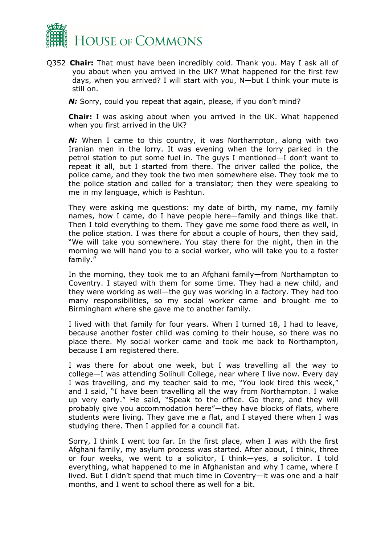

Q352 **Chair:** That must have been incredibly cold. Thank you. May I ask all of you about when you arrived in the UK? What happened for the first few days, when you arrived? I will start with you, N—but I think your mute is still on.

**N:** Sorry, could you repeat that again, please, if you don't mind?

**Chair:** I was asking about when you arrived in the UK. What happened when you first arrived in the UK?

**N:** When I came to this country, it was Northampton, along with two Iranian men in the lorry. It was evening when the lorry parked in the petrol station to put some fuel in. The guys I mentioned—I don't want to repeat it all, but I started from there. The driver called the police, the police came, and they took the two men somewhere else. They took me to the police station and called for a translator; then they were speaking to me in my language, which is Pashtun.

They were asking me questions: my date of birth, my name, my family names, how I came, do I have people here—family and things like that. Then I told everything to them. They gave me some food there as well, in the police station. I was there for about a couple of hours, then they said, "We will take you somewhere. You stay there for the night, then in the morning we will hand you to a social worker, who will take you to a foster family."

In the morning, they took me to an Afghani family—from Northampton to Coventry. I stayed with them for some time. They had a new child, and they were working as well*—*the guy was working in a factory. They had too many responsibilities, so my social worker came and brought me to Birmingham where she gave me to another family.

I lived with that family for four years. When I turned 18, I had to leave, because another foster child was coming to their house, so there was no place there. My social worker came and took me back to Northampton, because I am registered there.

I was there for about one week, but I was travelling all the way to college—I was attending Solihull College, near where I live now. Every day I was travelling, and my teacher said to me, "You look tired this week," and I said, "I have been travelling all the way from Northampton. I wake up very early." He said, "Speak to the office. Go there, and they will probably give you accommodation here"—they have blocks of flats, where students were living. They gave me a flat, and I stayed there when I was studying there. Then I applied for a council flat.

Sorry, I think I went too far. In the first place, when I was with the first Afghani family, my asylum process was started. After about, I think, three or four weeks, we went to a solicitor, I think—yes, a solicitor. I told everything, what happened to me in Afghanistan and why I came, where I lived. But I didn't spend that much time in Coventry—it was one and a half months, and I went to school there as well for a bit.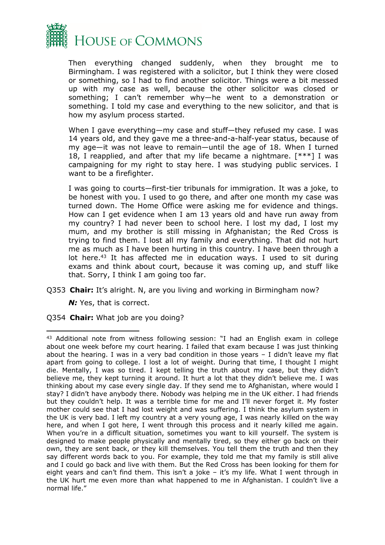

Then everything changed suddenly, when they brought me to Birmingham. I was registered with a solicitor, but I think they were closed or something, so I had to find another solicitor. Things were a bit messed up with my case as well, because the other solicitor was closed or something; I can't remember why—he went to a demonstration or something. I told my case and everything to the new solicitor, and that is how my asylum process started.

When I gave everything—my case and stuff—they refused my case. I was 14 years old, and they gave me a three-and-a-half-year status, because of my age—it was not leave to remain—until the age of 18. When I turned 18, I reapplied, and after that my life became a nightmare. [\*\*\*] I was campaigning for my right to stay here. I was studying public services. I want to be a firefighter.

I was going to courts—first-tier tribunals for immigration. It was a joke, to be honest with you. I used to go there, and after one month my case was turned down. The Home Office were asking me for evidence and things. How can I get evidence when I am 13 years old and have run away from my country? I had never been to school here. I lost my dad, I lost my mum, and my brother is still missing in Afghanistan; the Red Cross is trying to find them. I lost all my family and everything. That did not hurt me as much as I have been hurting in this country. I have been through a lot here.<sup>43</sup> It has affected me in education ways. I used to sit during exams and think about court, because it was coming up, and stuff like that. Sorry, I think I am going too far.

Q353 **Chair:** It's alright. N, are you living and working in Birmingham now?

**N:** Yes, that is correct.

Q354 **Chair:** What job are you doing?

<sup>43</sup> Additional note from witness following session: "I had an English exam in college about one week before my court hearing. I failed that exam because I was just thinking about the hearing. I was in a very bad condition in those years  $- I$  didn't leave my flat apart from going to college. I lost a lot of weight. During that time, I thought I might die. Mentally, I was so tired. I kept telling the truth about my case, but they didn't believe me, they kept turning it around. It hurt a lot that they didn't believe me. I was thinking about my case every single day. If they send me to Afghanistan, where would I stay? I didn't have anybody there. Nobody was helping me in the UK either. I had friends but they couldn't help. It was a terrible time for me and I'll never forget it. My foster mother could see that I had lost weight and was suffering. I think the asylum system in the UK is very bad. I left my country at a very young age, I was nearly killed on the way here, and when I got here, I went through this process and it nearly killed me again. When you're in a difficult situation, sometimes you want to kill yourself. The system is designed to make people physically and mentally tired, so they either go back on their own, they are sent back, or they kill themselves. You tell them the truth and then they say different words back to you. For example, they told me that my family is still alive and I could go back and live with them. But the Red Cross has been looking for them for eight years and can't find them. This isn't a joke – it's my life. What I went through in the UK hurt me even more than what happened to me in Afghanistan. I couldn't live a normal life."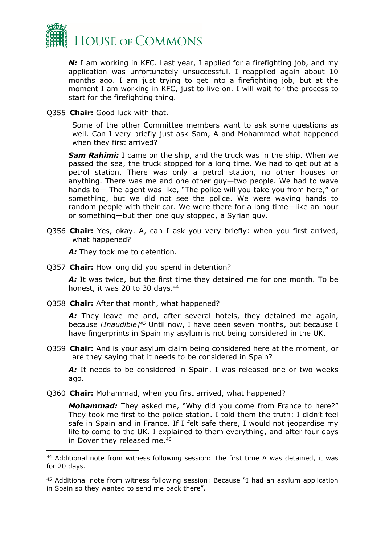

**N:** I am working in KFC. Last year, I applied for a firefighting job, and my application was unfortunately unsuccessful. I reapplied again about 10 months ago. I am just trying to get into a firefighting job, but at the moment I am working in KFC, just to live on. I will wait for the process to start for the firefighting thing.

Q355 **Chair:** Good luck with that.

Some of the other Committee members want to ask some questions as well. Can I very briefly just ask Sam, A and Mohammad what happened when they first arrived?

*Sam Rahimi:* I came on the ship, and the truck was in the ship. When we passed the sea, the truck stopped for a long time. We had to get out at a petrol station. There was only a petrol station, no other houses or anything. There was me and one other guy—two people. We had to wave hands to— The agent was like, "The police will you take you from here," or something, but we did not see the police. We were waving hands to random people with their car. We were there for a long time—like an hour or something—but then one guy stopped, a Syrian guy.

Q356 **Chair:** Yes, okay. A, can I ask you very briefly: when you first arrived, what happened?

A: They took me to detention.

Q357 **Chair:** How long did you spend in detention?

*A:* It was twice, but the first time they detained me for one month. To be honest, it was 20 to 30 days.<sup>44</sup>

Q358 **Chair:** After that month, what happened?

A: They leave me and, after several hotels, they detained me again, because *[Inaudible]<sup>45</sup>* Until now, I have been seven months, but because I have fingerprints in Spain my asylum is not being considered in the UK.

Q359 **Chair:** And is your asylum claim being considered here at the moment, or are they saying that it needs to be considered in Spain?

A: It needs to be considered in Spain. I was released one or two weeks ago.

Q360 **Chair:** Mohammad, when you first arrived, what happened?

*Mohammad:* They asked me, "Why did you come from France to here?" They took me first to the police station. I told them the truth: I didn't feel safe in Spain and in France. If I felt safe there, I would not jeopardise my life to come to the UK. I explained to them everything, and after four days in Dover they released me.<sup>46</sup>

<sup>44</sup> Additional note from witness following session: The first time A was detained, it was for 20 days.

<sup>45</sup> Additional note from witness following session: Because "I had an asylum application in Spain so they wanted to send me back there".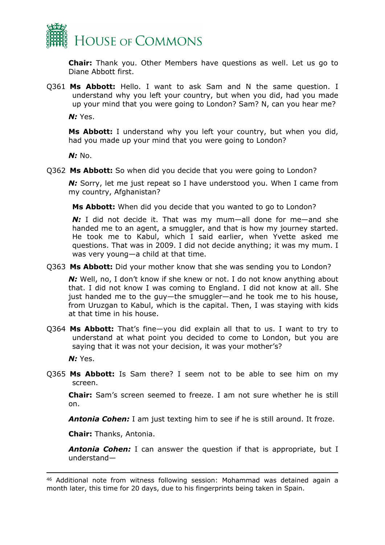

**Chair:** Thank you. Other Members have questions as well. Let us go to Diane Abbott first.

Q361 **Ms Abbott:** Hello. I want to ask Sam and N the same question. I understand why you left your country, but when you did, had you made up your mind that you were going to London? Sam? N, can you hear me?

*N:* Yes.

**Ms Abbott:** I understand why you left your country, but when you did, had you made up your mind that you were going to London?

*N:* No.

Q362 **Ms Abbott:** So when did you decide that you were going to London?

**N:** Sorry, let me just repeat so I have understood you. When I came from my country, Afghanistan?

**Ms Abbott:** When did you decide that you wanted to go to London?

*N:* I did not decide it. That was my mum—all done for me—and she handed me to an agent, a smuggler, and that is how my journey started. He took me to Kabul, which I said earlier, when Yvette asked me questions. That was in 2009. I did not decide anything; it was my mum. I was very young—a child at that time.

Q363 **Ms Abbott:** Did your mother know that she was sending you to London?

*N*: Well, no, I don't know if she knew or not. I do not know anything about that. I did not know I was coming to England. I did not know at all. She just handed me to the guy—the smuggler—and he took me to his house, from Uruzgan to Kabul, which is the capital. Then, I was staying with kids at that time in his house.

Q364 **Ms Abbott:** That's fine—you did explain all that to us. I want to try to understand at what point you decided to come to London, but you are saying that it was not your decision, it was your mother's?

*N:* Yes.

Q365 **Ms Abbott:** Is Sam there? I seem not to be able to see him on my screen.

**Chair:** Sam's screen seemed to freeze. I am not sure whether he is still on.

*Antonia Cohen:* I am just texting him to see if he is still around. It froze.

**Chair:** Thanks, Antonia.

**Antonia Cohen:** I can answer the question if that is appropriate, but I understand—

<sup>46</sup> Additional note from witness following session: Mohammad was detained again a month later, this time for 20 days, due to his fingerprints being taken in Spain.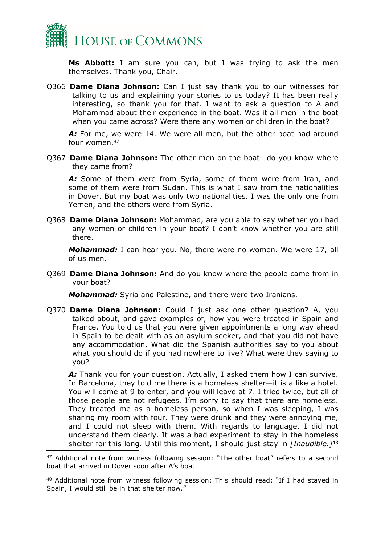

**Ms Abbott:** I am sure you can, but I was trying to ask the men themselves. Thank you, Chair.

Q366 **Dame Diana Johnson:** Can I just say thank you to our witnesses for talking to us and explaining your stories to us today? It has been really interesting, so thank you for that. I want to ask a question to A and Mohammad about their experience in the boat. Was it all men in the boat when you came across? Were there any women or children in the boat?

A: For me, we were 14. We were all men, but the other boat had around four women.<sup>47</sup>

Q367 **Dame Diana Johnson:** The other men on the boat—do you know where they came from?

*A:* Some of them were from Syria, some of them were from Iran, and some of them were from Sudan. This is what I saw from the nationalities in Dover. But my boat was only two nationalities. I was the only one from Yemen, and the others were from Syria.

Q368 **Dame Diana Johnson:** Mohammad, are you able to say whether you had any women or children in your boat? I don't know whether you are still there.

*Mohammad:* I can hear you. No, there were no women. We were 17, all of us men.

Q369 **Dame Diana Johnson:** And do you know where the people came from in your boat?

*Mohammad:* Syria and Palestine, and there were two Iranians.

Q370 **Dame Diana Johnson:** Could I just ask one other question? A, you talked about, and gave examples of, how you were treated in Spain and France. You told us that you were given appointments a long way ahead in Spain to be dealt with as an asylum seeker, and that you did not have any accommodation. What did the Spanish authorities say to you about what you should do if you had nowhere to live? What were they saying to you?

A: Thank you for your question. Actually, I asked them how I can survive. In Barcelona, they told me there is a homeless shelter—it is a like a hotel. You will come at 9 to enter, and you will leave at 7. I tried twice, but all of those people are not refugees. I'm sorry to say that there are homeless. They treated me as a homeless person, so when I was sleeping, I was sharing my room with four. They were drunk and they were annoying me, and I could not sleep with them. With regards to language, I did not understand them clearly. It was a bad experiment to stay in the homeless shelter for this long. Until this moment, I should just stay in *[Inaudible.]*<sup>48</sup>

<sup>&</sup>lt;sup>47</sup> Additional note from witness following session: "The other boat" refers to a second boat that arrived in Dover soon after A's boat.

<sup>48</sup> Additional note from witness following session: This should read: "If I had stayed in Spain, I would still be in that shelter now."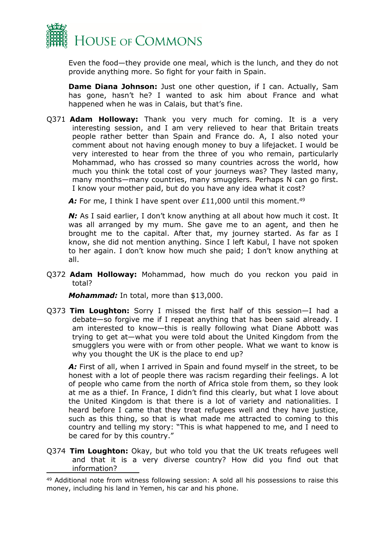

Even the food—they provide one meal, which is the lunch, and they do not provide anything more. So fight for your faith in Spain.

**Dame Diana Johnson:** Just one other question, if I can. Actually, Sam has gone, hasn't he? I wanted to ask him about France and what happened when he was in Calais, but that's fine.

Q371 **Adam Holloway:** Thank you very much for coming. It is a very interesting session, and I am very relieved to hear that Britain treats people rather better than Spain and France do. A, I also noted your comment about not having enough money to buy a lifejacket. I would be very interested to hear from the three of you who remain, particularly Mohammad, who has crossed so many countries across the world, how much you think the total cost of your journeys was? They lasted many, many months—many countries, many smugglers. Perhaps N can go first. I know your mother paid, but do you have any idea what it cost?

A: For me, I think I have spent over £11,000 until this moment.<sup>49</sup>

*N*: As I said earlier, I don't know anything at all about how much it cost. It was all arranged by my mum. She gave me to an agent, and then he brought me to the capital. After that, my journey started. As far as I know, she did not mention anything. Since I left Kabul, I have not spoken to her again. I don't know how much she paid; I don't know anything at all.

Q372 **Adam Holloway:** Mohammad, how much do you reckon you paid in total?

*Mohammad:* In total, more than \$13,000.

Q373 **Tim Loughton:** Sorry I missed the first half of this session—I had a debate—so forgive me if I repeat anything that has been said already. I am interested to know—this is really following what Diane Abbott was trying to get at—what you were told about the United Kingdom from the smugglers you were with or from other people. What we want to know is why you thought the UK is the place to end up?

A: First of all, when I arrived in Spain and found myself in the street, to be honest with a lot of people there was racism regarding their feelings. A lot of people who came from the north of Africa stole from them, so they look at me as a thief. In France, I didn't find this clearly, but what I love about the United Kingdom is that there is a lot of variety and nationalities. I heard before I came that they treat refugees well and they have justice, such as this thing, so that is what made me attracted to coming to this country and telling my story: "This is what happened to me, and I need to be cared for by this country."

Q374 **Tim Loughton:** Okay, but who told you that the UK treats refugees well and that it is a very diverse country? How did you find out that information?

<sup>49</sup> Additional note from witness following session: A sold all his possessions to raise this money, including his land in Yemen, his car and his phone.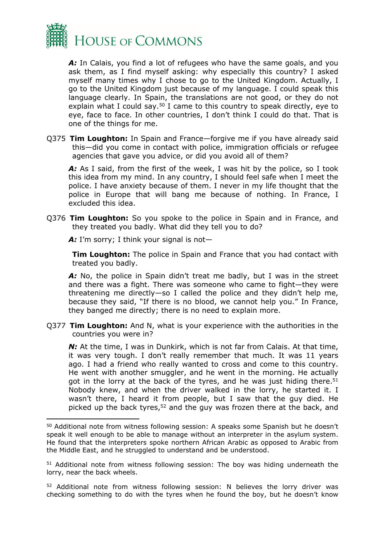

*A:* In Calais, you find a lot of refugees who have the same goals, and you ask them, as I find myself asking: why especially this country? I asked myself many times why I chose to go to the United Kingdom. Actually, I go to the United Kingdom just because of my language. I could speak this language clearly. In Spain, the translations are not good, or they do not explain what I could say.<sup>50</sup> I came to this country to speak directly, eye to eye, face to face. In other countries, I don't think I could do that. That is one of the things for me.

Q375 **Tim Loughton:** In Spain and France—forgive me if you have already said this—did you come in contact with police, immigration officials or refugee agencies that gave you advice, or did you avoid all of them?

A: As I said, from the first of the week, I was hit by the police, so I took this idea from my mind. In any country, I should feel safe when I meet the police. I have anxiety because of them. I never in my life thought that the police in Europe that will bang me because of nothing. In France, I excluded this idea.

Q376 **Tim Loughton:** So you spoke to the police in Spain and in France, and they treated you badly. What did they tell you to do?

A: I'm sorry; I think your signal is not-

**Tim Loughton:** The police in Spain and France that you had contact with treated you badly.

A: No, the police in Spain didn't treat me badly, but I was in the street and there was a fight. There was someone who came to fight—they were threatening me directly—so I called the police and they didn't help me, because they said, "If there is no blood, we cannot help you." In France, they banged me directly; there is no need to explain more.

Q377 **Tim Loughton:** And N, what is your experience with the authorities in the countries you were in?

*N*: At the time, I was in Dunkirk, which is not far from Calais. At that time, it was very tough. I don't really remember that much. It was 11 years ago. I had a friend who really wanted to cross and come to this country. He went with another smuggler, and he went in the morning. He actually got in the lorry at the back of the tyres, and he was just hiding there.<sup>51</sup> Nobody knew, and when the driver walked in the lorry, he started it. I wasn't there, I heard it from people, but I saw that the guy died. He picked up the back tyres,<sup>52</sup> and the guy was frozen there at the back, and

<sup>50</sup> Additional note from witness following session: A speaks some Spanish but he doesn't speak it well enough to be able to manage without an interpreter in the asylum system. He found that the interpreters spoke northern African Arabic as opposed to Arabic from the Middle East, and he struggled to understand and be understood.

<sup>51</sup> Additional note from witness following session: The boy was hiding underneath the lorry, near the back wheels.

<sup>52</sup> Additional note from witness following session: N believes the lorry driver was checking something to do with the tyres when he found the boy, but he doesn't know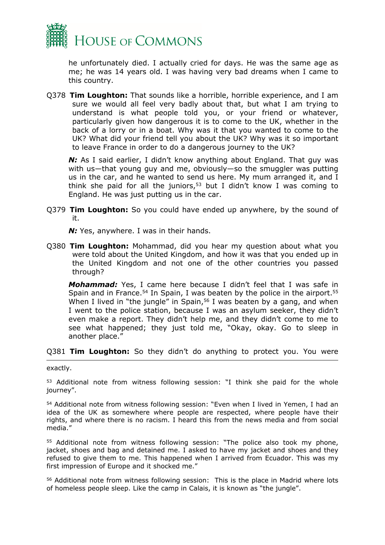

he unfortunately died. I actually cried for days. He was the same age as me; he was 14 years old. I was having very bad dreams when I came to this country.

Q378 **Tim Loughton:** That sounds like a horrible, horrible experience, and I am sure we would all feel very badly about that, but what I am trying to understand is what people told you, or your friend or whatever, particularly given how dangerous it is to come to the UK, whether in the back of a lorry or in a boat. Why was it that you wanted to come to the UK? What did your friend tell you about the UK? Why was it so important to leave France in order to do a dangerous journey to the UK?

*N*: As I said earlier, I didn't know anything about England. That guy was with us—that young guy and me, obviously—so the smuggler was putting us in the car, and he wanted to send us here. My mum arranged it, and I think she paid for all the juniors, $53$  but I didn't know I was coming to England. He was just putting us in the car.

Q379 **Tim Loughton:** So you could have ended up anywhere, by the sound of it.

**N:** Yes, anywhere. I was in their hands.

Q380 **Tim Loughton:** Mohammad, did you hear my question about what you were told about the United Kingdom, and how it was that you ended up in the United Kingdom and not one of the other countries you passed through?

*Mohammad:* Yes, I came here because I didn't feel that I was safe in Spain and in France.<sup>54</sup> In Spain, I was beaten by the police in the airport.<sup>55</sup> When I lived in "the jungle" in Spain,<sup>56</sup> I was beaten by a gang, and when I went to the police station, because I was an asylum seeker, they didn't even make a report. They didn't help me, and they didn't come to me to see what happened; they just told me, "Okay, okay. Go to sleep in another place."

#### Q381 **Tim Loughton:** So they didn't do anything to protect you. You were

exactly.

<sup>53</sup> Additional note from witness following session: "I think she paid for the whole journey".

<sup>54</sup> Additional note from witness following session: "Even when I lived in Yemen, I had an idea of the UK as somewhere where people are respected, where people have their rights, and where there is no racism. I heard this from the news media and from social media."

<sup>55</sup> Additional note from witness following session: "The police also took my phone, jacket, shoes and bag and detained me. I asked to have my jacket and shoes and they refused to give them to me. This happened when I arrived from Ecuador. This was my first impression of Europe and it shocked me."

<sup>56</sup> Additional note from witness following session: This is the place in Madrid where lots of homeless people sleep. Like the camp in Calais, it is known as "the jungle".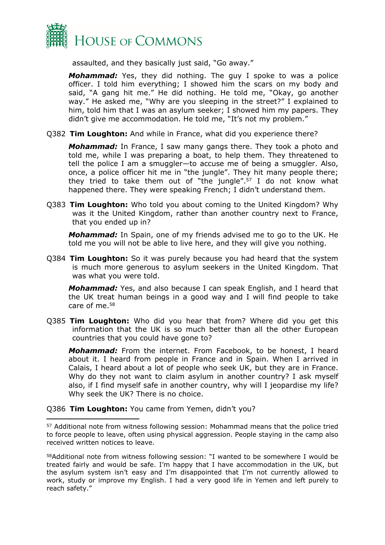

assaulted, and they basically just said, "Go away."

*Mohammad:* Yes, they did nothing. The guy I spoke to was a police officer. I told him everything; I showed him the scars on my body and said, "A gang hit me." He did nothing. He told me, "Okay, go another way." He asked me, "Why are you sleeping in the street?" I explained to him, told him that I was an asylum seeker; I showed him my papers. They didn't give me accommodation. He told me, "It's not my problem."

Q382 **Tim Loughton:** And while in France, what did you experience there?

*Mohammad:* In France, I saw many gangs there. They took a photo and told me, while I was preparing a boat, to help them. They threatened to tell the police I am a smuggler—to accuse me of being a smuggler. Also, once, a police officer hit me in "the jungle". They hit many people there; they tried to take them out of "the jungle".<sup>57</sup> I do not know what happened there. They were speaking French; I didn't understand them.

Q383 **Tim Loughton:** Who told you about coming to the United Kingdom? Why was it the United Kingdom, rather than another country next to France, that you ended up in?

*Mohammad:* In Spain, one of my friends advised me to go to the UK. He told me you will not be able to live here, and they will give you nothing.

Q384 **Tim Loughton:** So it was purely because you had heard that the system is much more generous to asylum seekers in the United Kingdom. That was what you were told.

*Mohammad:* Yes, and also because I can speak English, and I heard that the UK treat human beings in a good way and I will find people to take care of me.<sup>58</sup>

Q385 **Tim Loughton:** Who did you hear that from? Where did you get this information that the UK is so much better than all the other European countries that you could have gone to?

*Mohammad:* From the internet. From Facebook, to be honest, I heard about it. I heard from people in France and in Spain. When I arrived in Calais, I heard about a lot of people who seek UK, but they are in France. Why do they not want to claim asylum in another country? I ask myself also, if I find myself safe in another country, why will I jeopardise my life? Why seek the UK? There is no choice.

Q386 **Tim Loughton:** You came from Yemen, didn't you?

<sup>57</sup> Additional note from witness following session: Mohammad means that the police tried to force people to leave, often using physical aggression. People staying in the camp also received written notices to leave.

<sup>58</sup>Additional note from witness following session: "I wanted to be somewhere I would be treated fairly and would be safe. I'm happy that I have accommodation in the UK, but the asylum system isn't easy and I'm disappointed that I'm not currently allowed to work, study or improve my English. I had a very good life in Yemen and left purely to reach safety."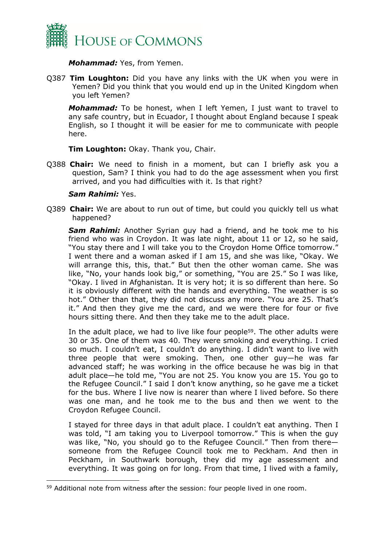

*Mohammad:* Yes, from Yemen.

Q387 **Tim Loughton:** Did you have any links with the UK when you were in Yemen? Did you think that you would end up in the United Kingdom when you left Yemen?

*Mohammad:* To be honest, when I left Yemen, I just want to travel to any safe country, but in Ecuador, I thought about England because I speak English, so I thought it will be easier for me to communicate with people here.

**Tim Loughton:** Okay. Thank you, Chair.

Q388 **Chair:** We need to finish in a moment, but can I briefly ask you a question, Sam? I think you had to do the age assessment when you first arrived, and you had difficulties with it. Is that right?

#### *Sam Rahimi:* Yes.

Q389 **Chair:** We are about to run out of time, but could you quickly tell us what happened?

*Sam Rahimi:* Another Syrian guy had a friend, and he took me to his friend who was in Croydon. It was late night, about 11 or 12, so he said, "You stay there and I will take you to the Croydon Home Office tomorrow." I went there and a woman asked if I am 15, and she was like, "Okay. We will arrange this, this, that." But then the other woman came. She was like, "No, your hands look big," or something, "You are 25." So I was like, "Okay. I lived in Afghanistan*.* It is very hot; it is so different than here. So it is obviously different with the hands and everything. The weather is so hot." Other than that, they did not discuss any more. "You are 25. That's it." And then they give me the card, and we were there for four or five hours sitting there. And then they take me to the adult place.

In the adult place, we had to live like four people<sup>59</sup>. The other adults were 30 or 35. One of them was 40. They were smoking and everything. I cried so much. I couldn't eat, I couldn't do anything. I didn't want to live with three people that were smoking. Then, one other guy—he was far advanced staff; he was working in the office because he was big in that adult place—he told me, "You are not 25. You know you are 15. You go to the Refugee Council." I said I don't know anything, so he gave me a ticket for the bus. Where I live now is nearer than where I lived before. So there was one man, and he took me to the bus and then we went to the Croydon Refugee Council.

I stayed for three days in that adult place. I couldn't eat anything. Then I was told, "I am taking you to Liverpool tomorrow." This is when the guy was like, "No, you should go to the Refugee Council." Then from there someone from the Refugee Council took me to Peckham. And then in Peckham, in Southwark borough, they did my age assessment and everything. It was going on for long. From that time, I lived with a family,

<sup>59</sup> Additional note from witness after the session: four people lived in one room.